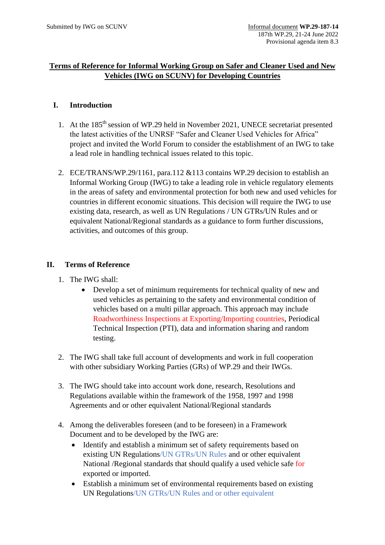## **Terms of Reference for Informal Working Group on Safer and Cleaner Used and New Vehicles (IWG on SCUNV) for Developing Countries**

## **I. Introduction**

- 1. At the 185th session of WP.29 held in November 2021, UNECE secretariat presented the latest activities of the UNRSF "Safer and Cleaner Used Vehicles for Africa" project and invited the World Forum to consider the establishment of an IWG to take a lead role in handling technical issues related to this topic.
- 2. ECE/TRANS/WP.29/1161, para.112 &113 contains WP.29 decision to establish an Informal Working Group (IWG) to take a leading role in vehicle regulatory elements in the areas of safety and environmental protection for both new and used vehicles for countries in different economic situations. This decision will require the IWG to use existing data, research, as well as UN Regulations / UN GTRs/UN Rules and or equivalent National/Regional standards as a guidance to form further discussions, activities, and outcomes of this group.

## **II. Terms of Reference**

- 1. The IWG shall:
	- Develop a set of minimum requirements for technical quality of new and used vehicles as pertaining to the safety and environmental condition of vehicles based on a multi pillar approach. This approach may include Roadworthiness Inspections at Exporting/Importing countries, Periodical Technical Inspection (PTI), data and information sharing and random testing.
- 2. The IWG shall take full account of developments and work in full cooperation with other subsidiary Working Parties (GRs) of WP.29 and their IWGs.
- 3. The IWG should take into account work done, research, Resolutions and Regulations available within the framework of the 1958, 1997 and 1998 Agreements and or other equivalent National/Regional standards
- 4. Among the deliverables foreseen (and to be foreseen) in a Framework Document and to be developed by the IWG are:
	- Identify and establish a minimum set of safety requirements based on existing UN Regulations/UN GTRs/UN Rules and or other equivalent National /Regional standards that should qualify a used vehicle safe for exported or imported.
	- Establish a minimum set of environmental requirements based on existing UN Regulations/UN GTRs/UN Rules and or other equivalent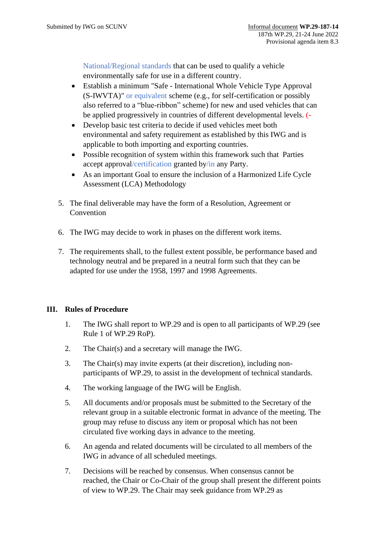National/Regional standards that can be used to qualify a vehicle environmentally safe for use in a different country.

- Establish a minimum "Safe International Whole Vehicle Type Approval (S-IWVTA)" or equivalent scheme (e.g., for self-certification or possibly also referred to a "blue-ribbon" scheme) for new and used vehicles that can be applied progressively in countries of different developmental levels. (-
- Develop basic test criteria to decide if used vehicles meet both environmental and safety requirement as established by this IWG and is applicable to both importing and exporting countries.
- Possible recognition of system within this framework such that Parties accept approval/certification granted by/in any Party.
- As an important Goal to ensure the inclusion of a Harmonized Life Cycle Assessment (LCA) Methodology
- 5. The final deliverable may have the form of a Resolution, Agreement or **Convention**
- 6. The IWG may decide to work in phases on the different work items.
- 7. The requirements shall, to the fullest extent possible, be performance based and technology neutral and be prepared in a neutral form such that they can be adapted for use under the 1958, 1997 and 1998 Agreements.

## **III. Rules of Procedure**

- 1. The IWG shall report to WP.29 and is open to all participants of WP.29 (see Rule 1 of WP.29 RoP).
- 2. The Chair(s) and a secretary will manage the IWG.
- 3. The Chair(s) may invite experts (at their discretion), including nonparticipants of WP.29, to assist in the development of technical standards.
- 4. The working language of the IWG will be English.
- 5. All documents and/or proposals must be submitted to the Secretary of the relevant group in a suitable electronic format in advance of the meeting. The group may refuse to discuss any item or proposal which has not been circulated five working days in advance to the meeting.
- 6. An agenda and related documents will be circulated to all members of the IWG in advance of all scheduled meetings.
- 7. Decisions will be reached by consensus. When consensus cannot be reached, the Chair or Co-Chair of the group shall present the different points of view to WP.29. The Chair may seek guidance from WP.29 as